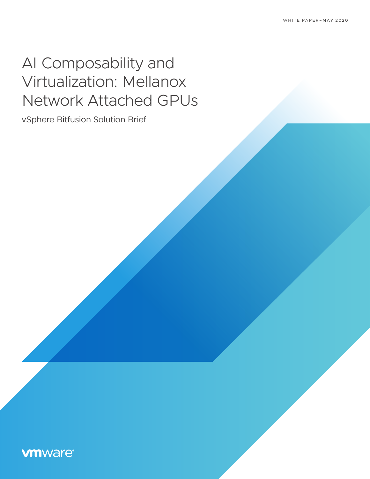# AI Composability and Virtualization: Mellanox Network Attached GPUs

vSphere Bitfusion Solution Brief

## **vmware®**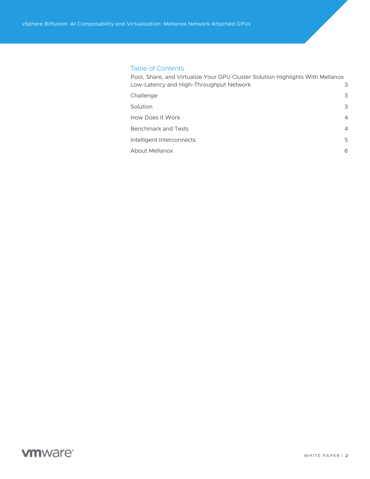#### Table of Contents

| Pool, Share, and Virtualize Your GPU Cluster Solution Highlights With Mellanox |                |
|--------------------------------------------------------------------------------|----------------|
| Low-Latency and High-Throughput Network                                        | 3              |
| Challenge                                                                      | 3              |
| Solution                                                                       | 3              |
| How Does It Work                                                               | $\overline{4}$ |
| <b>Benchmark and Tests</b>                                                     | $\overline{4}$ |
| Intelligent Interconnects                                                      | 5              |
| About Mellanox                                                                 | 6              |
|                                                                                |                |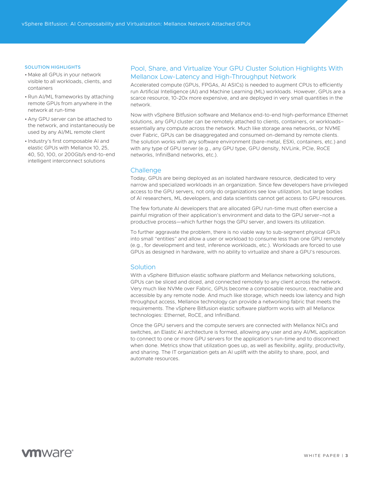#### <span id="page-2-0"></span>SOLUTION HIGHLIGHTS

- Make all GPUs in your network visible to all workloads, clients, and containers
- •Run AI/ML frameworks by attaching remote GPUs from anywhere in the network at run-time
- Any GPU server can be attached to the network, and instantaneously be used by any AI/ML remote client
- Industry's first composable AI and elastic GPUs with Mellanox 10, 25, 40, 50, 100, or 200Gb/s end-to-end intelligent interconnect solutions

#### Pool, Share, and Virtualize Your GPU Cluster Solution Highlights With Mellanox Low-Latency and High-Throughput Network

Accelerated compute (GPUs, FPGAs, AI ASICs) is needed to augment CPUs to efficiently run Artificial Intelligence (AI) and Machine Learning (ML) workloads. However, GPUs are a scarce resource, 10-20x more expensive, and are deployed in very small quantities in the network.

Now with vSphere Bitfusion software and Mellanox end-to-end high-performance Ethernet solutions, any GPU cluster can be remotely attached to clients, containers, or workloads– essentially any compute across the network. Much like storage area networks, or NVME over Fabric, GPUs can be disaggregated and consumed on-demand by remote clients. The solution works with any software environment (bare-metal, ESXi, containers, etc.) and with any type of GPU server (e.g., any GPU type, GPU density, NVLink, PCIe, RoCE networks, InfiniBand networks, etc.).

#### **Challenge**

Today, GPUs are being deployed as an isolated hardware resource, dedicated to very narrow and specialized workloads in an organization. Since few developers have privileged access to the GPU servers, not only do organizations see low utilization, but large bodies of AI researchers, ML developers, and data scientists cannot get access to GPU resources.

The few fortunate AI developers that are allocated GPU run-time must often exercise a painful migration of their application's environment and data to the GPU server–not a productive process—which further hogs the GPU server, and lowers its utilization.

To further aggravate the problem, there is no viable way to sub-segment physical GPUs into small "entities" and allow a user or workload to consume less than one GPU remotely (e.g., for development and test, inference workloads, etc.). Workloads are forced to use GPUs as designed in hardware, with no ability to virtualize and share a GPU's resources.

#### **Solution**

With a vSphere Bitfusion elastic software platform and Mellanox networking solutions, GPUs can be sliced and diced, and connected remotely to any client across the network. Very much like NVMe over Fabric, GPUs become a composable resource, reachable and accessible by any remote node. And much like storage, which needs low latency and high throughput access, Mellanox technology can provide a networking fabric that meets the requirements. The vSphere Bitfusion elastic software platform works with all Mellanox technologies: Ethernet, RoCE, and InfiniBand.

Once the GPU servers and the compute servers are connected with Mellanox NICs and switches, an Elastic AI architecture is formed, allowing any user and any AI/ML application to connect to one or more GPU servers for the application's run-time and to disconnect when done. Metrics show that utilization goes up, as well as flexibility, agility, productivity, and sharing. The IT organization gets an AI uplift with the ability to share, pool, and automate resources.

## **vm**ware<sup>®</sup>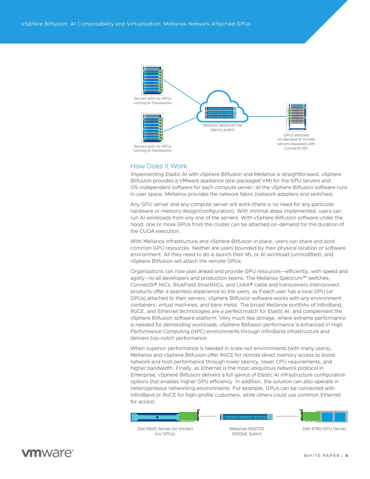<span id="page-3-0"></span>

#### How Does It Work

Implementing Elastic AI with vSphere Bitfusion and Mellanox is straightforward. vSphere Bitfusion provides a VMware appliance (pre-packaged VM) for the GPU servers and OS-independent software for each compute server; all the vSphere Bitfusion software runs in user space. Mellanox provides the network fabric (network adapters and switches).

Any GPU server and any compute server will work (there is no need for any particular hardware or memory design/configuration). With minimal steps implemented, users can run AI workloads from any one of the servers. With vSphere Bitfusion software under the hood, one or more GPUs from the cluster can be attached on-demand for the duration of the CUDA execution.

With Mellanox infrastructure and vSphere Bitfusion in place, users can share and pool common GPU resources. Neither are users bounded by their physical location or software environment. All they need to do is launch their ML or AI workload (unmodified), and vSphere Bitfusion will attach the remote GPUs.

Organizations can now plan ahead and provide GPU resources—efficiently, with speed and agility—to all developers and production teams. The Mellanox Spectrum™ switches, ConnectX® NICs, BlueField SmartNICs, and LinkX® cable and transceivers interconnect products offer a seamless experience to the users, as if each user has a local GPU (or GPUs) attached to their servers. vSphere Bitfusion software works with any environment: containers, virtual machines, and bare-metal. The broad Mellanox portfolio of InfiniBand, RoCE, and Ethernet technologies are a perfect match for Elastic AI, and complement the vSphere Bitfusion software platform. Very much like storage, where extreme performance is needed for demanding workloads, vSphere Bitfusion performance is enhanced in High Performance Computing (HPC) environments through InfiniBand infrastructure and delivers top-notch performance.

When superior performance is needed in scale-out environments (with many users), Mellanox and vSphere Bitfusion offer RoCE for remote direct memory access to boost network and host performance through lower latency, lower CPU requirements, and higher bandwidth. Finally, as Ethernet is the most ubiquitous network protocol in Enterprise, vSphere Bitfusion delivers a full gamut of Elastic AI infrastructure configuration options that enables higher GPU efficiency. In addition, the solution can also operate in heterogeneous networking environments. For example, GPUs can be connected with InfiniBand or RoCE for high-profile customers, while others could use common Ethernet for access.



### **m**ware<sup>®</sup>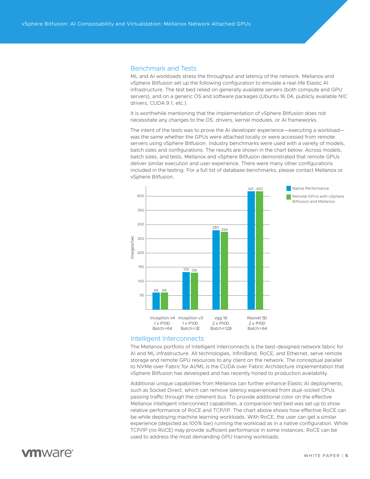#### <span id="page-4-0"></span>Benchmark and Tests

ML and AI workloads stress the throughput and latency of the network. Mellanox and vSphere Bitfusion set up the following configuration to emulate a real-life Elastic AI infrastructure. The test bed relied on generally available servers (both compute and GPU servers), and on a generic OS and software packages (Ubuntu 16.04, publicly available NIC drivers, CUDA 9.1, etc.).

It is worthwhile mentioning that the implementation of vSphere Bitfusion does not necessitate any changes to the OS, drivers, kernel modules, or AI frameworks.

The intent of the tests was to prove the AI developer experience—executing a workload was the same whether the GPUs were attached locally or were accessed from remote servers using vSphere Bitfusion. Industry benchmarks were used with a variety of models, batch sizes and configurations. The results are shown in the chart below. Across models, batch sizes, and tests, Mellanox and vSphere Bitfusion demonstrated that remote GPUs deliver similar execution and user experience. There were many other configurations included in the testing. For a full list of database benchmarks, please contact Mellanox or vSphere Bitfusion.



#### Intelligent Interconnects

The Mellanox portfolio of Intelligent Interconnects is the best-designed network fabric for AI and ML infrastructure. All technologies, InfiniBand, RoCE, and Ethernet, serve remote storage and remote GPU resources to any client on the network. The conceptual parallel to NVMe over Fabric for AI/ML is the CUDA over Fabric Architecture implementation that vSphere Bitfusion has developed and has recently honed to production availability.

Additional unique capabilities from Mellanox can further enhance Elastic AI deployments, such as Socket Direct, which can remove latency experienced from dual-socket CPUs passing traffic through the coherent bus. To provide additional color on the effective Mellanox intelligent interconnect capabilities, a comparison test bed was set up to show relative performance of RoCE and TCP/IP. The chart above shows how effective RoCE can be while deploying machine learning workloads. With RoCE, the user can get a similar experience (depicted as 100% bar) running the workload as in a native configuration. While TCP/IP (no RoCE) may provide sufficient performance in some instances, RoCE can be used to address the most demanding GPU training workloads.

### **vm**ware<sup>®</sup>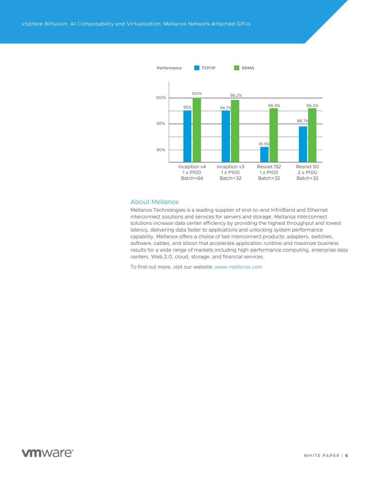<span id="page-5-0"></span>

#### About Mellanox

Mellanox Technologies is a leading supplier of end-to-end InfiniBand and Ethernet interconnect solutions and services for servers and storage. Mellanox interconnect solutions increase data center efficiency by providing the highest throughput and lowest latency, delivering data faster to applications and unlocking system performance capability. Mellanox offers a choice of fast interconnect products: adapters, switches, software, cables, and silicon that accelerate application runtime and maximize business results for a wide range of markets including high-performance computing, enterprise data centers, Web 2.0, cloud, storage, and financial services.

To find out more, visit our website: *[www.mellanox.com](http://www.mellanox.com)*

### **vm**ware<sup>®</sup>